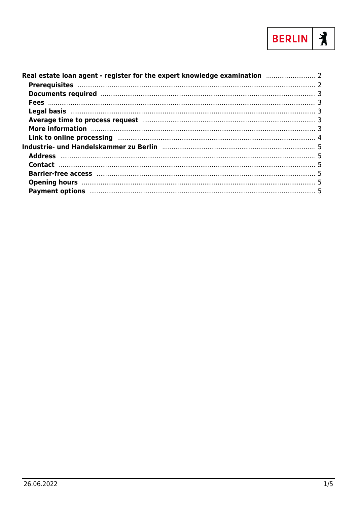

| Link to online processing manufactured and the contract of the processing manufactured and the contract of the |  |
|----------------------------------------------------------------------------------------------------------------|--|
| Industrie- und Handelskammer zu Berlin [11] [12] Industries und Handelskammer zu Berlin [11] Industries und H  |  |
|                                                                                                                |  |
|                                                                                                                |  |
|                                                                                                                |  |
|                                                                                                                |  |
|                                                                                                                |  |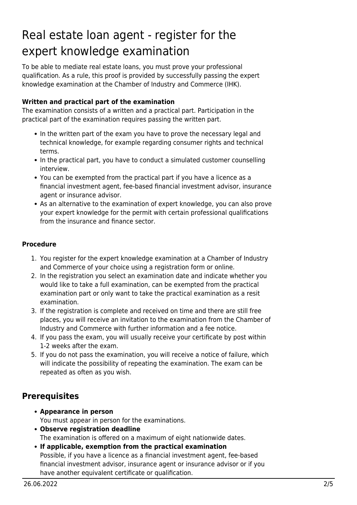# <span id="page-1-0"></span>Real estate loan agent - register for the expert knowledge examination

To be able to mediate real estate loans, you must prove your professional qualification. As a rule, this proof is provided by successfully passing the expert knowledge examination at the Chamber of Industry and Commerce (IHK).

#### **Written and practical part of the examination**

The examination consists of a written and a practical part. Participation in the practical part of the examination requires passing the written part.

- In the written part of the exam you have to prove the necessary legal and technical knowledge, for example regarding consumer rights and technical terms.
- In the practical part, you have to conduct a simulated customer counselling interview.
- You can be exempted from the practical part if you have a licence as a financial investment agent, fee-based financial investment advisor, insurance agent or insurance advisor.
- As an alternative to the examination of expert knowledge, you can also prove your expert knowledge for the permit with certain professional qualifications from the insurance and finance sector.

#### **Procedure**

- 1. You register for the expert knowledge examination at a Chamber of Industry and Commerce of your choice using a registration form or online.
- 2. In the registration you select an examination date and indicate whether you would like to take a full examination, can be exempted from the practical examination part or only want to take the practical examination as a resit examination.
- 3. If the registration is complete and received on time and there are still free places, you will receive an invitation to the examination from the Chamber of Industry and Commerce with further information and a fee notice.
- 4. If you pass the exam, you will usually receive your certificate by post within 1-2 weeks after the exam.
- 5. If you do not pass the examination, you will receive a notice of failure, which will indicate the possibility of repeating the examination. The exam can be repeated as often as you wish.

# <span id="page-1-1"></span>**Prerequisites**

- **Appearance in person** You must appear in person for the examinations.
- **Observe registration deadline** The examination is offered on a maximum of eight nationwide dates.
- **If applicable, exemption from the practical examination** Possible, if you have a licence as a financial investment agent, fee-based financial investment advisor, insurance agent or insurance advisor or if you have another equivalent certificate or qualification.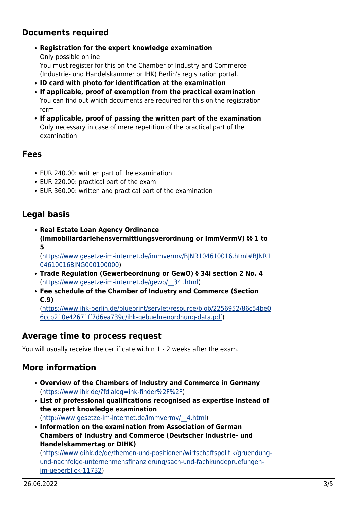# <span id="page-2-0"></span>**Documents required**

**Registration for the expert knowledge examination**

Only possible online You must register for this on the Chamber of Industry and Commerce (Industrie- und Handelskammer or IHK) Berlin's registration portal.

- **ID card with photo for identification at the examination**
- **If applicable, proof of exemption from the practical examination** You can find out which documents are required for this on the registration form.
- **If applicable, proof of passing the written part of the examination** Only necessary in case of mere repetition of the practical part of the examination

#### <span id="page-2-1"></span>**Fees**

- EUR 240.00: written part of the examination
- EUR 220.00: practical part of the exam
- EUR 360.00: written and practical part of the examination

# <span id="page-2-2"></span>**Legal basis**

**Real Estate Loan Agency Ordinance (Immobiliardarlehensvermittlungsverordnung or ImmVermV) §§ 1 to 5**

([https://www.gesetze-im-internet.de/immvermv/BJNR104610016.html#BJNR1](https://www.gesetze-im-internet.de/immvermv/BJNR104610016.html#BJNR104610016BJNG000100000) [04610016BJNG000100000\)](https://www.gesetze-im-internet.de/immvermv/BJNR104610016.html#BJNR104610016BJNG000100000)

- **Trade Regulation (Gewerbeordnung or GewO) § 34i section 2 No. 4** ([https://www.gesetze-im-internet.de/gewo/\\_\\_34i.html\)](https://www.gesetze-im-internet.de/gewo/__34i.html)
- **Fee schedule of the Chamber of Industry and Commerce (Section C.9)**

([https://www.ihk-berlin.de/blueprint/servlet/resource/blob/2256952/86c54be0](https://www.ihk-berlin.de/blueprint/servlet/resource/blob/2256952/86c54be06ccb210e42671ff7d6ea739c/ihk-gebuehrenordnung-data.pdf) [6ccb210e42671ff7d6ea739c/ihk-gebuehrenordnung-data.pdf\)](https://www.ihk-berlin.de/blueprint/servlet/resource/blob/2256952/86c54be06ccb210e42671ff7d6ea739c/ihk-gebuehrenordnung-data.pdf)

# <span id="page-2-3"></span>**Average time to process request**

You will usually receive the certificate within 1 - 2 weeks after the exam.

# <span id="page-2-4"></span>**More information**

- **Overview of the Chambers of Industry and Commerce in Germany** (<https://www.ihk.de/?fdialog=ihk-finder%2F%2F>)
- **List of professional qualifications recognised as expertise instead of the expert knowledge examination** ([http://www.gesetze-im-internet.de/immvermv/\\_\\_4.html\)](http://www.gesetze-im-internet.de/immvermv/__4.html)
- **Information on the examination from Association of German Chambers of Industry and Commerce (Deutscher Industrie- und Handelskammertag or DIHK)**

([https://www.dihk.de/de/themen-und-positionen/wirtschaftspolitik/gruendung](https://www.dihk.de/de/themen-und-positionen/wirtschaftspolitik/gruendung-und-nachfolge-unternehmensfinanzierung/sach-und-fachkundepruefungen-im-ueberblick-11732)[und-nachfolge-unternehmensfinanzierung/sach-und-fachkundepruefungen](https://www.dihk.de/de/themen-und-positionen/wirtschaftspolitik/gruendung-und-nachfolge-unternehmensfinanzierung/sach-und-fachkundepruefungen-im-ueberblick-11732)[im-ueberblick-11732\)](https://www.dihk.de/de/themen-und-positionen/wirtschaftspolitik/gruendung-und-nachfolge-unternehmensfinanzierung/sach-und-fachkundepruefungen-im-ueberblick-11732)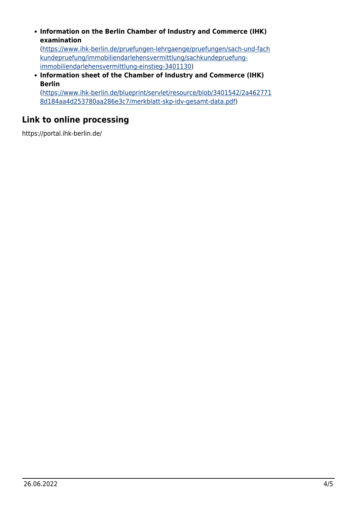**Information on the Berlin Chamber of Industry and Commerce (IHK) examination**

([https://www.ihk-berlin.de/pruefungen-lehrgaenge/pruefungen/sach-und-fach](https://www.ihk-berlin.de/pruefungen-lehrgaenge/pruefungen/sach-und-fachkundepruefung/immobiliendarlehensvermittlung/sachkundepruefung-immobiliendarlehensvermittlung-einstieg-3401130) [kundepruefung/immobiliendarlehensvermittlung/sachkundepruefung](https://www.ihk-berlin.de/pruefungen-lehrgaenge/pruefungen/sach-und-fachkundepruefung/immobiliendarlehensvermittlung/sachkundepruefung-immobiliendarlehensvermittlung-einstieg-3401130)[immobiliendarlehensvermittlung-einstieg-3401130](https://www.ihk-berlin.de/pruefungen-lehrgaenge/pruefungen/sach-und-fachkundepruefung/immobiliendarlehensvermittlung/sachkundepruefung-immobiliendarlehensvermittlung-einstieg-3401130))

**Information sheet of the Chamber of Industry and Commerce (IHK) Berlin**

([https://www.ihk-berlin.de/blueprint/servlet/resource/blob/3401542/2a462771](https://www.ihk-berlin.de/blueprint/servlet/resource/blob/3401542/2a4627718d184aa4d253780aa286e3c7/merkblatt-skp-idv-gesamt-data.pdf) [8d184aa4d253780aa286e3c7/merkblatt-skp-idv-gesamt-data.pdf\)](https://www.ihk-berlin.de/blueprint/servlet/resource/blob/3401542/2a4627718d184aa4d253780aa286e3c7/merkblatt-skp-idv-gesamt-data.pdf)

# <span id="page-3-0"></span>**Link to online processing**

https://portal.ihk-berlin.de/